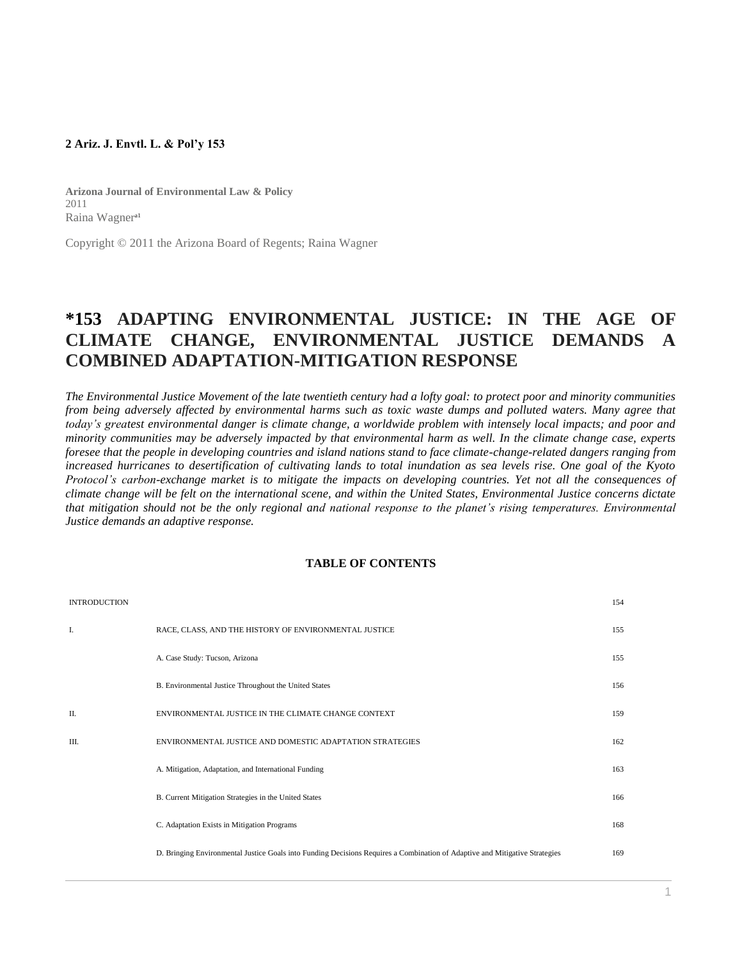### **2 Ariz. J. Envtl. L. & Pol'y 153**

**Arizona Journal of Environmental Law & Policy** 2011 Raina Wagner<sup>al</sup>

Copyright © 2011 the Arizona Board of Regents; Raina Wagner

# **\*153 ADAPTING ENVIRONMENTAL JUSTICE: IN THE AGE OF CLIMATE CHANGE, ENVIRONMENTAL JUSTICE DEMANDS A COMBINED ADAPTATION-MITIGATION RESPONSE**

*The Environmental Justice Movement of the late twentieth century had a lofty goal: to protect poor and minority communities from being adversely affected by environmental harms such as toxic waste dumps and polluted waters. Many agree that* today's greatest environmental danger is climate change, a worldwide problem with intensely local impacts; and poor and *minority communities may be adversely impacted by that environmental harm as well. In the climate change case, experts foresee that the people in developing countries and island nations stand to face climate-change-related dangers ranging from increased hurricanes to desertification of cultivating lands to total inundation as sea levels rise. One goal of the Kyoto Protocol's carbon-exchange market is to mitigate the impacts on developing countries. Yet not all the consequences of climate change will be felt on the international scene, and within the United States, Environmental Justice concerns dictate that mitigation should not be the only regional and national response to the planet's rising temperatures. Environmental Justice demands an adaptive response.*

#### **TABLE OF CONTENTS**

| <b>INTRODUCTION</b> |                                                                                                                             | 154 |
|---------------------|-----------------------------------------------------------------------------------------------------------------------------|-----|
| I.                  | RACE, CLASS, AND THE HISTORY OF ENVIRONMENTAL JUSTICE                                                                       | 155 |
|                     | A. Case Study: Tucson, Arizona                                                                                              | 155 |
|                     | B. Environmental Justice Throughout the United States                                                                       | 156 |
| $\Pi$ .             | ENVIRONMENTAL JUSTICE IN THE CLIMATE CHANGE CONTEXT                                                                         | 159 |
| III.                | ENVIRONMENTAL JUSTICE AND DOMESTIC ADAPTATION STRATEGIES                                                                    | 162 |
|                     | A. Mitigation, Adaptation, and International Funding                                                                        | 163 |
|                     | B. Current Mitigation Strategies in the United States                                                                       | 166 |
|                     | C. Adaptation Exists in Mitigation Programs                                                                                 | 168 |
|                     | D. Bringing Environmental Justice Goals into Funding Decisions Requires a Combination of Adaptive and Mitigative Strategies | 169 |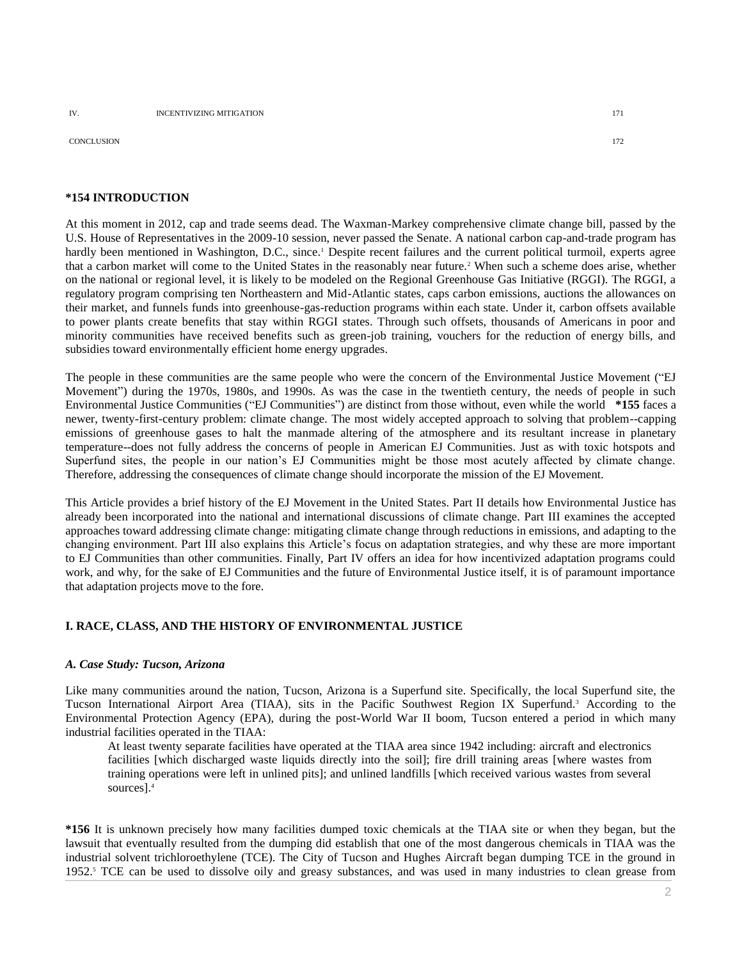CONCLUSION 172

#### **\*154 INTRODUCTION**

At this moment in 2012, cap and trade seems dead. The Waxman-Markey comprehensive climate change bill, passed by the U.S. House of Representatives in the 2009-10 session, never passed the Senate. A national carbon cap-and-trade program has hardly been mentioned in Washington, D.C., since.<sup>1</sup> Despite recent failures and the current political turmoil, experts agree that a carbon market will come to the United States in the reasonably near future.<sup>2</sup> When such a scheme does arise, whether on the national or regional level, it is likely to be modeled on the Regional Greenhouse Gas Initiative (RGGI). The RGGI, a regulatory program comprising ten Northeastern and Mid-Atlantic states, caps carbon emissions, auctions the allowances on their market, and funnels funds into greenhouse-gas-reduction programs within each state. Under it, carbon offsets available to power plants create benefits that stay within RGGI states. Through such offsets, thousands of Americans in poor and minority communities have received benefits such as green-job training, vouchers for the reduction of energy bills, and subsidies toward environmentally efficient home energy upgrades.

The people in these communities are the same people who were the concern of the Environmental Justice Movement ("EJ Movement") during the 1970s, 1980s, and 1990s. As was the case in the twentieth century, the needs of people in such Environmental Justice Communities ("EJ Communities") are distinct from those without, even while the world **\*155** faces a newer, twenty-first-century problem: climate change. The most widely accepted approach to solving that problem--capping emissions of greenhouse gases to halt the manmade altering of the atmosphere and its resultant increase in planetary temperature--does not fully address the concerns of people in American EJ Communities. Just as with toxic hotspots and Superfund sites, the people in our nation's EJ Communities might be those most acutely affected by climate change. Therefore, addressing the consequences of climate change should incorporate the mission of the EJ Movement.

This Article provides a brief history of the EJ Movement in the United States. Part II details how Environmental Justice has already been incorporated into the national and international discussions of climate change. Part III examines the accepted approaches toward addressing climate change: mitigating climate change through reductions in emissions, and adapting to the changing environment. Part III also explains this Article's focus on adaptation strategies, and why these are more important to EJ Communities than other communities. Finally, Part IV offers an idea for how incentivized adaptation programs could work, and why, for the sake of EJ Communities and the future of Environmental Justice itself, it is of paramount importance that adaptation projects move to the fore.

#### **I. RACE, CLASS, AND THE HISTORY OF ENVIRONMENTAL JUSTICE**

#### *A. Case Study: Tucson, Arizona*

Like many communities around the nation, Tucson, Arizona is a Superfund site. Specifically, the local Superfund site, the Tucson International Airport Area (TIAA), sits in the Pacific Southwest Region IX Superfund.<sup>3</sup> According to the Environmental Protection Agency (EPA), during the post-World War II boom, Tucson entered a period in which many industrial facilities operated in the TIAA:

At least twenty separate facilities have operated at the TIAA area since 1942 including: aircraft and electronics facilities [which discharged waste liquids directly into the soil]; fire drill training areas [where wastes from training operations were left in unlined pits]; and unlined landfills [which received various wastes from several sources].<sup>4</sup>

**\*156** It is unknown precisely how many facilities dumped toxic chemicals at the TIAA site or when they began, but the lawsuit that eventually resulted from the dumping did establish that one of the most dangerous chemicals in TIAA was the industrial solvent trichloroethylene (TCE). The City of Tucson and Hughes Aircraft began dumping TCE in the ground in 1952.<sup>5</sup> TCE can be used to dissolve oily and greasy substances, and was used in many industries to clean grease from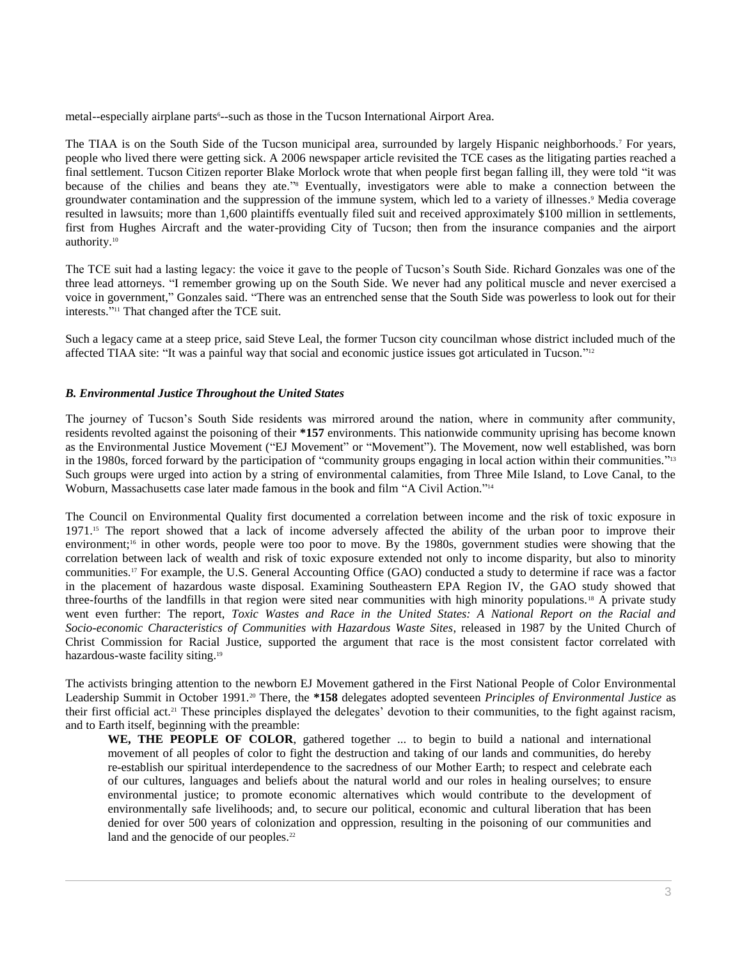metal--especially airplane parts<sup>6</sup>--such as those in the Tucson International Airport Area.

The TIAA is on the South Side of the Tucson municipal area, surrounded by largely Hispanic neighborhoods.<sup>7</sup> For years, people who lived there were getting sick. A 2006 newspaper article revisited the TCE cases as the litigating parties reached a final settlement. Tucson Citizen reporter Blake Morlock wrote that when people first began falling ill, they were told "it was because of the chilies and beans they ate." <sup>8</sup> Eventually, investigators were able to make a connection between the groundwater contamination and the suppression of the immune system, which led to a variety of illnesses. <sup>9</sup> Media coverage resulted in lawsuits; more than 1,600 plaintiffs eventually filed suit and received approximately \$100 million in settlements, first from Hughes Aircraft and the water-providing City of Tucson; then from the insurance companies and the airport authority.<sup>10</sup>

The TCE suit had a lasting legacy: the voice it gave to the people of Tucson's South Side. Richard Gonzales was one of the three lead attorneys. "I remember growing up on the South Side. We never had any political muscle and never exercised a voice in government," Gonzales said. "There was an entrenched sense that the South Side was powerless to look out for their interests." <sup>11</sup> That changed after the TCE suit.

Such a legacy came at a steep price, said Steve Leal, the former Tucson city councilman whose district included much of the affected TIAA site: "It was a painful way that social and economic justice issues got articulated in Tucson."<sup>12</sup>

# *B. Environmental Justice Throughout the United States*

The journey of Tucson's South Side residents was mirrored around the nation, where in community after community, residents revolted against the poisoning of their **\*157** environments. This nationwide community uprising has become known as the Environmental Justice Movement ("EJ Movement" or "Movement"). The Movement, now well established, was born in the 1980s, forced forward by the participation of "community groups engaging in local action within their communities." 13 Such groups were urged into action by a string of environmental calamities, from Three Mile Island, to Love Canal, to the Woburn, Massachusetts case later made famous in the book and film "A Civil Action."<sup>14</sup>

The Council on Environmental Quality first documented a correlation between income and the risk of toxic exposure in 1971.<sup>15</sup> The report showed that a lack of income adversely affected the ability of the urban poor to improve their environment;<sup>16</sup> in other words, people were too poor to move. By the 1980s, government studies were showing that the correlation between lack of wealth and risk of toxic exposure extended not only to income disparity, but also to minority communities.<sup>17</sup> For example, the U.S. General Accounting Office (GAO) conducted a study to determine if race was a factor in the placement of hazardous waste disposal. Examining Southeastern EPA Region IV, the GAO study showed that three-fourths of the landfills in that region were sited near communities with high minority populations.<sup>18</sup> A private study went even further: The report, *Toxic Wastes and Race in the United States: A National Report on the Racial and Socio-economic Characteristics of Communities with Hazardous Waste Sites*, released in 1987 by the United Church of Christ Commission for Racial Justice, supported the argument that race is the most consistent factor correlated with hazardous-waste facility siting.<sup>19</sup>

The activists bringing attention to the newborn EJ Movement gathered in the First National People of Color Environmental Leadership Summit in October 1991.<sup>20</sup> There, the **\*158** delegates adopted seventeen *Principles of Environmental Justice* as their first official act.<sup>21</sup> These principles displayed the delegates' devotion to their communities, to the fight against racism, and to Earth itself, beginning with the preamble:

**WE, THE PEOPLE OF COLOR**, gathered together ... to begin to build a national and international movement of all peoples of color to fight the destruction and taking of our lands and communities, do hereby re-establish our spiritual interdependence to the sacredness of our Mother Earth; to respect and celebrate each of our cultures, languages and beliefs about the natural world and our roles in healing ourselves; to ensure environmental justice; to promote economic alternatives which would contribute to the development of environmentally safe livelihoods; and, to secure our political, economic and cultural liberation that has been denied for over 500 years of colonization and oppression, resulting in the poisoning of our communities and land and the genocide of our peoples.<sup>22</sup>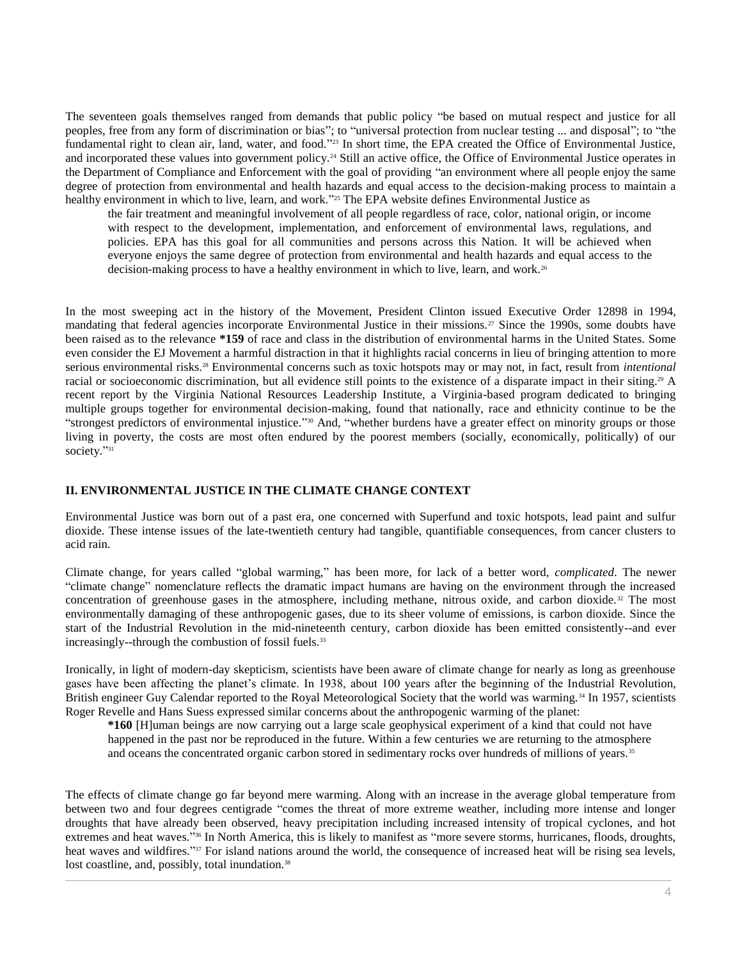The seventeen goals themselves ranged from demands that public policy "be based on mutual respect and justice for all peoples, free from any form of discrimination or bias"; to "universal protection from nuclear testing ... and disposal"; to "the fundamental right to clean air, land, water, and food."<sup>23</sup> In short time, the EPA created the Office of Environmental Justice, and incorporated these values into government policy.<sup>24</sup> Still an active office, the Office of Environmental Justice operates in the Department of Compliance and Enforcement with the goal of providing "an environment where all people enjoy the same degree of protection from environmental and health hazards and equal access to the decision-making process to maintain a healthy environment in which to live, learn, and work."<sup>25</sup> The EPA website defines Environmental Justice as

the fair treatment and meaningful involvement of all people regardless of race, color, national origin, or income with respect to the development, implementation, and enforcement of environmental laws, regulations, and policies. EPA has this goal for all communities and persons across this Nation. It will be achieved when everyone enjoys the same degree of protection from environmental and health hazards and equal access to the decision-making process to have a healthy environment in which to live, learn, and work.<sup>26</sup>

In the most sweeping act in the history of the Movement, President Clinton issued [Executive Order 12898](http://www.westlaw.com/Link/Document/FullText?findType=Y&serNum=1994556908&pubNum=0001043&originatingDoc=Ie2a55828a46e11e18b05fdf15589d8e8&refType=CA&originationContext=document&vr=3.0&rs=cblt1.0&transitionType=DocumentItem&contextData=(sc.Search)) in 1994, mandating that federal agencies incorporate Environmental Justice in their missions.<sup>27</sup> Since the 1990s, some doubts have been raised as to the relevance **\*159** of race and class in the distribution of environmental harms in the United States. Some even consider the EJ Movement a harmful distraction in that it highlights racial concerns in lieu of bringing attention to more serious environmental risks.<sup>28</sup> Environmental concerns such as toxic hotspots may or may not, in fact, result from *intentional* racial or socioeconomic discrimination, but all evidence still points to the existence of a disparate impact in their siting.<sup>29</sup> A recent report by the Virginia National Resources Leadership Institute, a Virginia-based program dedicated to bringing multiple groups together for environmental decision-making, found that nationally, race and ethnicity continue to be the "strongest predictors of environmental injustice." <sup>30</sup> And, "whether burdens have a greater effect on minority groups or those living in poverty, the costs are most often endured by the poorest members (socially, economically, politically) of our society."<sup>31</sup>

# **II. ENVIRONMENTAL JUSTICE IN THE CLIMATE CHANGE CONTEXT**

Environmental Justice was born out of a past era, one concerned with Superfund and toxic hotspots, lead paint and sulfur dioxide. These intense issues of the late-twentieth century had tangible, quantifiable consequences, from cancer clusters to acid rain.

Climate change, for years called "global warming," has been more, for lack of a better word, *complicated*. The newer "climate change" nomenclature reflects the dramatic impact humans are having on the environment through the increased concentration of greenhouse gases in the atmosphere, including methane, nitrous oxide, and carbon dioxide.<sup>32</sup> The most environmentally damaging of these anthropogenic gases, due to its sheer volume of emissions, is carbon dioxide. Since the start of the Industrial Revolution in the mid-nineteenth century, carbon dioxide has been emitted consistently--and ever increasingly--through the combustion of fossil fuels.<sup>33</sup>

Ironically, in light of modern-day skepticism, scientists have been aware of climate change for nearly as long as greenhouse gases have been affecting the planet's climate. In 1938, about 100 years after the beginning of the Industrial Revolution, British engineer Guy Calendar reported to the Royal Meteorological Society that the world was warming.<sup>34</sup> In 1957, scientists Roger Revelle and Hans Suess expressed similar concerns about the anthropogenic warming of the planet:

**\*160** [H]uman beings are now carrying out a large scale geophysical experiment of a kind that could not have happened in the past nor be reproduced in the future. Within a few centuries we are returning to the atmosphere and oceans the concentrated organic carbon stored in sedimentary rocks over hundreds of millions of years.<sup>35</sup>

The effects of climate change go far beyond mere warming. Along with an increase in the average global temperature from between two and four degrees centigrade "comes the threat of more extreme weather, including more intense and longer droughts that have already been observed, heavy precipitation including increased intensity of tropical cyclones, and hot extremes and heat waves."<sup>36</sup> In North America, this is likely to manifest as "more severe storms, hurricanes, floods, droughts, heat waves and wildfires."<sup>37</sup> For island nations around the world, the consequence of increased heat will be rising sea levels, lost coastline, and, possibly, total inundation.<sup>38</sup>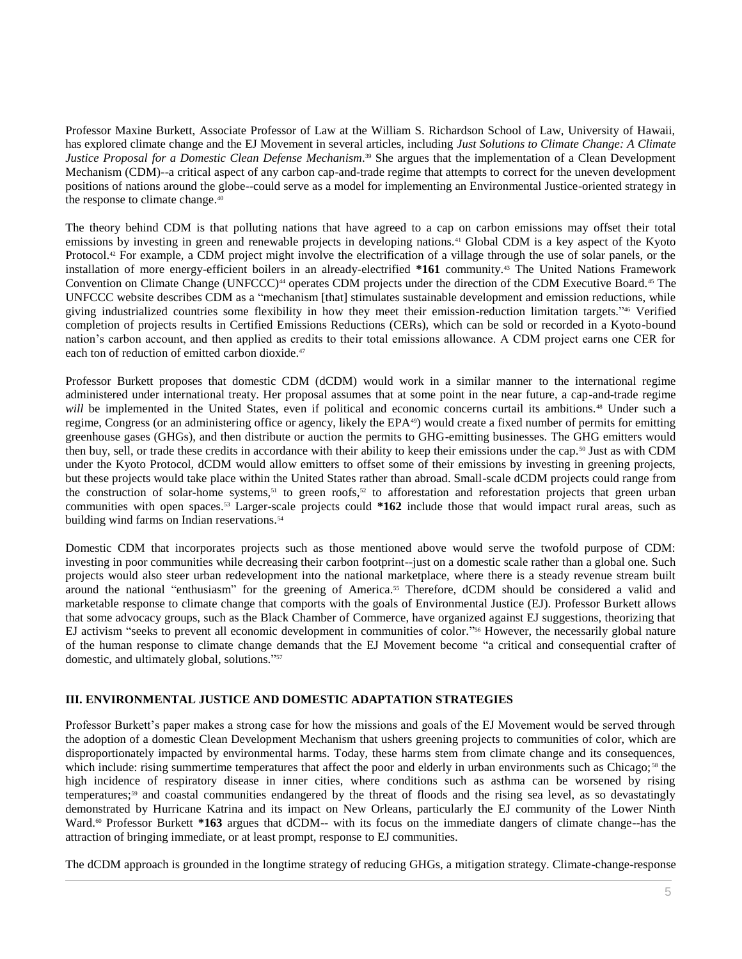Professor Maxine Burkett, Associate Professor of Law at the William S. Richardson School of Law, University of Hawaii, has explored climate change and the EJ Movement in several articles, including *Just Solutions to Climate Change: A Climate Justice Proposal for a Domestic Clean Defense Mechanism*. <sup>39</sup> She argues that the implementation of a Clean Development Mechanism (CDM)--a critical aspect of any carbon cap-and-trade regime that attempts to correct for the uneven development positions of nations around the globe--could serve as a model for implementing an Environmental Justice-oriented strategy in the response to climate change.<sup>40</sup>

The theory behind CDM is that polluting nations that have agreed to a cap on carbon emissions may offset their total emissions by investing in green and renewable projects in developing nations.<sup>41</sup> Global CDM is a key aspect of the Kyoto Protocol.<sup>42</sup> For example, a CDM project might involve the electrification of a village through the use of solar panels, or the installation of more energy-efficient boilers in an already-electrified **\*161** community.<sup>43</sup> The United Nations Framework Convention on Climate Change (UNFCCC)<sup>44</sup> operates CDM projects under the direction of the CDM Executive Board.<sup>45</sup> The UNFCCC website describes CDM as a "mechanism [that] stimulates sustainable development and emission reductions, while giving industrialized countries some flexibility in how they meet their emission-reduction limitation targets." <sup>46</sup> Verified completion of projects results in Certified Emissions Reductions (CERs), which can be sold or recorded in a Kyoto-bound nation's carbon account, and then applied as credits to their total emissions allowance. A CDM project earns one CER for each ton of reduction of emitted carbon dioxide.<sup>47</sup>

Professor Burkett proposes that domestic CDM (dCDM) would work in a similar manner to the international regime administered under international treaty. Her proposal assumes that at some point in the near future, a cap-and-trade regime *will* be implemented in the United States, even if political and economic concerns curtail its ambitions.<sup>48</sup> Under such a regime, Congress (or an administering office or agency, likely the EPA<sup>49</sup>) would create a fixed number of permits for emitting greenhouse gases (GHGs), and then distribute or auction the permits to GHG-emitting businesses. The GHG emitters would then buy, sell, or trade these credits in accordance with their ability to keep their emissions under the cap.<sup>50</sup> Just as with CDM under the Kyoto Protocol, dCDM would allow emitters to offset some of their emissions by investing in greening projects, but these projects would take place within the United States rather than abroad. Small-scale dCDM projects could range from the construction of solar-home systems,<sup>51</sup> to green roofs,<sup>52</sup> to afforestation and reforestation projects that green urban communities with open spaces.<sup>53</sup> Larger-scale projects could **\*162** include those that would impact rural areas, such as building wind farms on Indian reservations.<sup>54</sup>

Domestic CDM that incorporates projects such as those mentioned above would serve the twofold purpose of CDM: investing in poor communities while decreasing their carbon footprint--just on a domestic scale rather than a global one. Such projects would also steer urban redevelopment into the national marketplace, where there is a steady revenue stream built around the national "enthusiasm" for the greening of America.<sup>55</sup> Therefore, dCDM should be considered a valid and marketable response to climate change that comports with the goals of Environmental Justice (EJ). Professor Burkett allows that some advocacy groups, such as the Black Chamber of Commerce, have organized against EJ suggestions, theorizing that EJ activism "seeks to prevent all economic development in communities of color." <sup>56</sup> However, the necessarily global nature of the human response to climate change demands that the EJ Movement become "a critical and consequential crafter of domestic, and ultimately global, solutions." 57

# **III. ENVIRONMENTAL JUSTICE AND DOMESTIC ADAPTATION STRATEGIES**

Professor Burkett's paper makes a strong case for how the missions and goals of the EJ Movement would be served through the adoption of a domestic Clean Development Mechanism that ushers greening projects to communities of color, which are disproportionately impacted by environmental harms. Today, these harms stem from climate change and its consequences, which include: rising summertime temperatures that affect the poor and elderly in urban environments such as Chicago;<sup>58</sup> the high incidence of respiratory disease in inner cities, where conditions such as asthma can be worsened by rising temperatures;<sup>59</sup> and coastal communities endangered by the threat of floods and the rising sea level, as so devastatingly demonstrated by Hurricane Katrina and its impact on New Orleans, particularly the EJ community of the Lower Ninth Ward.<sup>60</sup> Professor Burkett \*163 argues that dCDM-- with its focus on the immediate dangers of climate change--has the attraction of bringing immediate, or at least prompt, response to EJ communities.

The dCDM approach is grounded in the longtime strategy of reducing GHGs, a mitigation strategy. Climate-change-response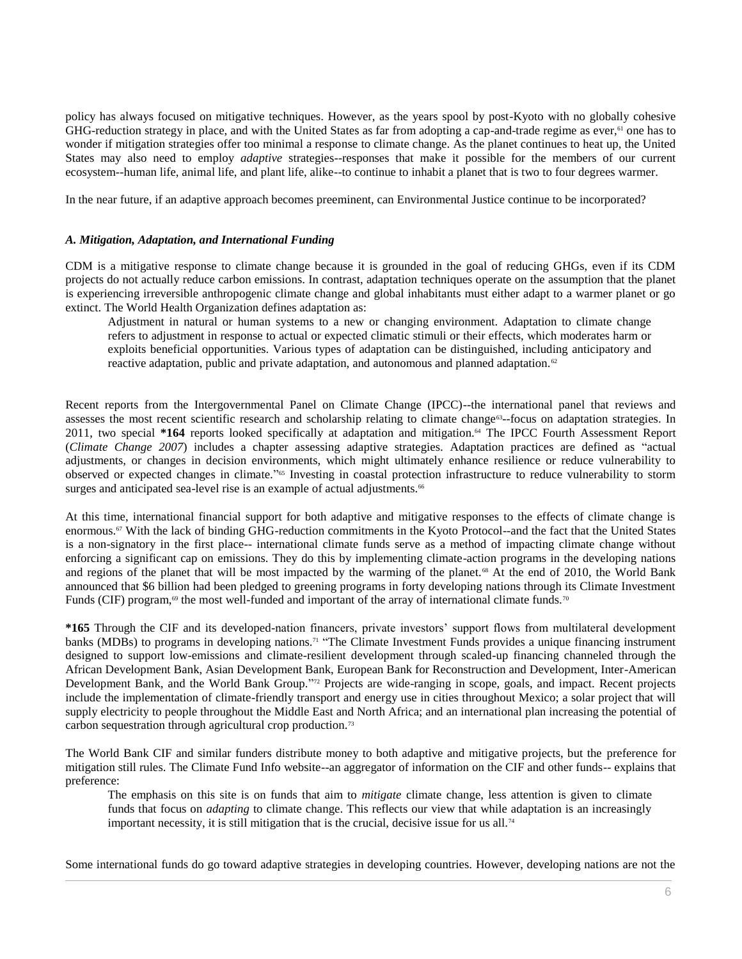policy has always focused on mitigative techniques. However, as the years spool by post-Kyoto with no globally cohesive GHG-reduction strategy in place, and with the United States as far from adopting a cap-and-trade regime as ever, $61$  one has to wonder if mitigation strategies offer too minimal a response to climate change. As the planet continues to heat up, the United States may also need to employ *adaptive* strategies--responses that make it possible for the members of our current ecosystem--human life, animal life, and plant life, alike--to continue to inhabit a planet that is two to four degrees warmer.

In the near future, if an adaptive approach becomes preeminent, can Environmental Justice continue to be incorporated?

# *A. Mitigation, Adaptation, and International Funding*

CDM is a mitigative response to climate change because it is grounded in the goal of reducing GHGs, even if its CDM projects do not actually reduce carbon emissions. In contrast, adaptation techniques operate on the assumption that the planet is experiencing irreversible anthropogenic climate change and global inhabitants must either adapt to a warmer planet or go extinct. The World Health Organization defines adaptation as:

Adjustment in natural or human systems to a new or changing environment. Adaptation to climate change refers to adjustment in response to actual or expected climatic stimuli or their effects, which moderates harm or exploits beneficial opportunities. Various types of adaptation can be distinguished, including anticipatory and reactive adaptation, public and private adaptation, and autonomous and planned adaptation.<sup>62</sup>

Recent reports from the Intergovernmental Panel on Climate Change (IPCC)--the international panel that reviews and assesses the most recent scientific research and scholarship relating to climate change<sup>63</sup>-focus on adaptation strategies. In 2011, two special **\*164** reports looked specifically at adaptation and mitigation.<sup>64</sup> The IPCC Fourth Assessment Report (*Climate Change 2007*) includes a chapter assessing adaptive strategies. Adaptation practices are defined as "actual adjustments, or changes in decision environments, which might ultimately enhance resilience or reduce vulnerability to observed or expected changes in climate." <sup>65</sup> Investing in coastal protection infrastructure to reduce vulnerability to storm surges and anticipated sea-level rise is an example of actual adjustments.<sup>66</sup>

At this time, international financial support for both adaptive and mitigative responses to the effects of climate change is enormous.<sup>67</sup> With the lack of binding GHG-reduction commitments in the Kyoto Protocol--and the fact that the United States is a non-signatory in the first place-- international climate funds serve as a method of impacting climate change without enforcing a significant cap on emissions. They do this by implementing climate-action programs in the developing nations and regions of the planet that will be most impacted by the warming of the planet.<sup>68</sup> At the end of 2010, the World Bank announced that \$6 billion had been pledged to greening programs in forty developing nations through its Climate Investment Funds (CIF) program,<sup>69</sup> the most well-funded and important of the array of international climate funds.<sup>70</sup>

**\*165** Through the CIF and its developed-nation financers, private investors' support flows from multilateral development banks (MDBs) to programs in developing nations.<sup>71</sup> "The Climate Investment Funds provides a unique financing instrument designed to support low-emissions and climate-resilient development through scaled-up financing channeled through the African Development Bank, Asian Development Bank, European Bank for Reconstruction and Development, Inter-American Development Bank, and the World Bank Group." <sup>72</sup> Projects are wide-ranging in scope, goals, and impact. Recent projects include the implementation of climate-friendly transport and energy use in cities throughout Mexico; a solar project that will supply electricity to people throughout the Middle East and North Africa; and an international plan increasing the potential of carbon sequestration through agricultural crop production.<sup>73</sup>

The World Bank CIF and similar funders distribute money to both adaptive and mitigative projects, but the preference for mitigation still rules. The Climate Fund Info website--an aggregator of information on the CIF and other funds-- explains that preference:

The emphasis on this site is on funds that aim to *mitigate* climate change, less attention is given to climate funds that focus on *adapting* to climate change. This reflects our view that while adaptation is an increasingly important necessity, it is still mitigation that is the crucial, decisive issue for us all.<sup>74</sup>

Some international funds do go toward adaptive strategies in developing countries. However, developing nations are not the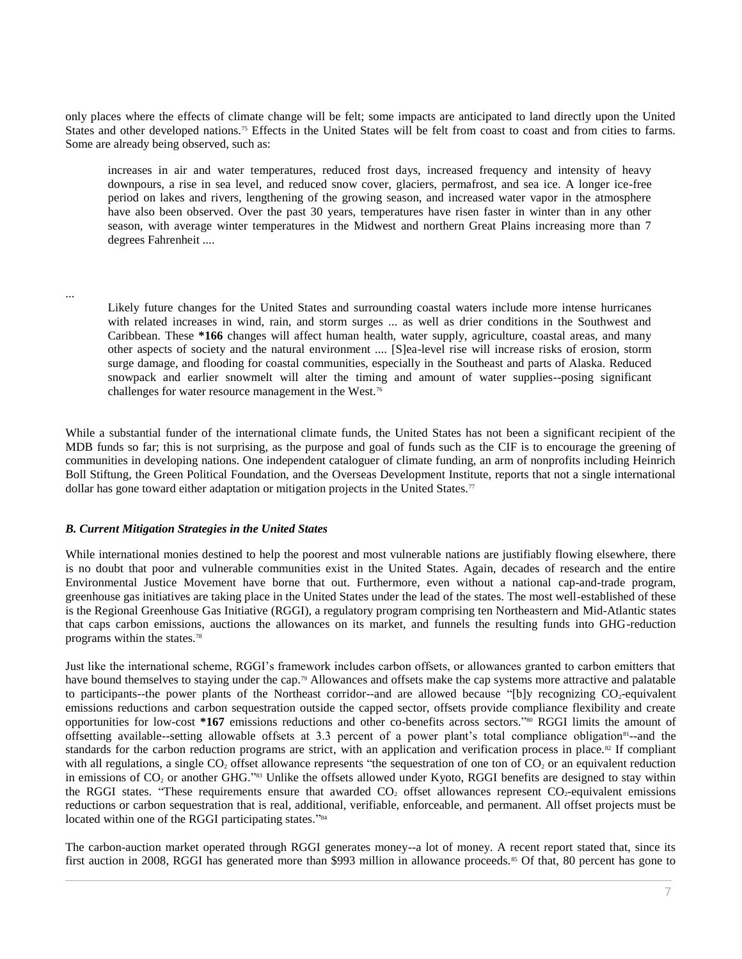only places where the effects of climate change will be felt; some impacts are anticipated to land directly upon the United States and other developed nations.<sup>75</sup> Effects in the United States will be felt from coast to coast and from cities to farms. Some are already being observed, such as:

increases in air and water temperatures, reduced frost days, increased frequency and intensity of heavy downpours, a rise in sea level, and reduced snow cover, glaciers, permafrost, and sea ice. A longer ice-free period on lakes and rivers, lengthening of the growing season, and increased water vapor in the atmosphere have also been observed. Over the past 30 years, temperatures have risen faster in winter than in any other season, with average winter temperatures in the Midwest and northern Great Plains increasing more than 7 degrees Fahrenheit ....

...

Likely future changes for the United States and surrounding coastal waters include more intense hurricanes with related increases in wind, rain, and storm surges ... as well as drier conditions in the Southwest and Caribbean. These **\*166** changes will affect human health, water supply, agriculture, coastal areas, and many other aspects of society and the natural environment .... [S]ea-level rise will increase risks of erosion, storm surge damage, and flooding for coastal communities, especially in the Southeast and parts of Alaska. Reduced snowpack and earlier snowmelt will alter the timing and amount of water supplies--posing significant challenges for water resource management in the West.<sup>76</sup>

While a substantial funder of the international climate funds, the United States has not been a significant recipient of the MDB funds so far; this is not surprising, as the purpose and goal of funds such as the CIF is to encourage the greening of communities in developing nations. One independent cataloguer of climate funding, an arm of nonprofits including Heinrich Boll Stiftung, the Green Political Foundation, and the Overseas Development Institute, reports that not a single international dollar has gone toward either adaptation or mitigation projects in the United States.<sup>77</sup>

#### *B. Current Mitigation Strategies in the United States*

While international monies destined to help the poorest and most vulnerable nations are justifiably flowing elsewhere, there is no doubt that poor and vulnerable communities exist in the United States. Again, decades of research and the entire Environmental Justice Movement have borne that out. Furthermore, even without a national cap-and-trade program, greenhouse gas initiatives are taking place in the United States under the lead of the states. The most well-established of these is the Regional Greenhouse Gas Initiative (RGGI), a regulatory program comprising ten Northeastern and Mid-Atlantic states that caps carbon emissions, auctions the allowances on its market, and funnels the resulting funds into GHG-reduction programs within the states.<sup>78</sup>

Just like the international scheme, RGGI's framework includes carbon offsets, or allowances granted to carbon emitters that have bound themselves to staying under the cap.<sup>79</sup> Allowances and offsets make the cap systems more attractive and palatable to participants--the power plants of the Northeast corridor--and are allowed because "[b]y recognizing  $CO<sub>2</sub>$ -equivalent emissions reductions and carbon sequestration outside the capped sector, offsets provide compliance flexibility and create opportunities for low-cost **\*167** emissions reductions and other co-benefits across sectors." <sup>80</sup> RGGI limits the amount of offsetting available--setting allowable offsets at 3.3 percent of a power plant's total compliance obligation<sup>81</sup>--and the standards for the carbon reduction programs are strict, with an application and verification process in place.<sup>82</sup> If compliant with all regulations, a single  $CO<sub>2</sub>$  offset allowance represents "the sequestration of one ton of  $CO<sub>2</sub>$  or an equivalent reduction in emissions of  $CO<sub>2</sub>$  or another GHG."<sup>83</sup> Unlike the offsets allowed under Kyoto, RGGI benefits are designed to stay within the RGGI states. "These requirements ensure that awarded  $CO<sub>2</sub>$  offset allowances represent  $CO<sub>2</sub>$ -equivalent emissions reductions or carbon sequestration that is real, additional, verifiable, enforceable, and permanent. All offset projects must be located within one of the RGGI participating states."<sup>84</sup>

The carbon-auction market operated through RGGI generates money--a lot of money. A recent report stated that, since its first auction in 2008, RGGI has generated more than \$993 million in allowance proceeds.<sup>85</sup> Of that, 80 percent has gone to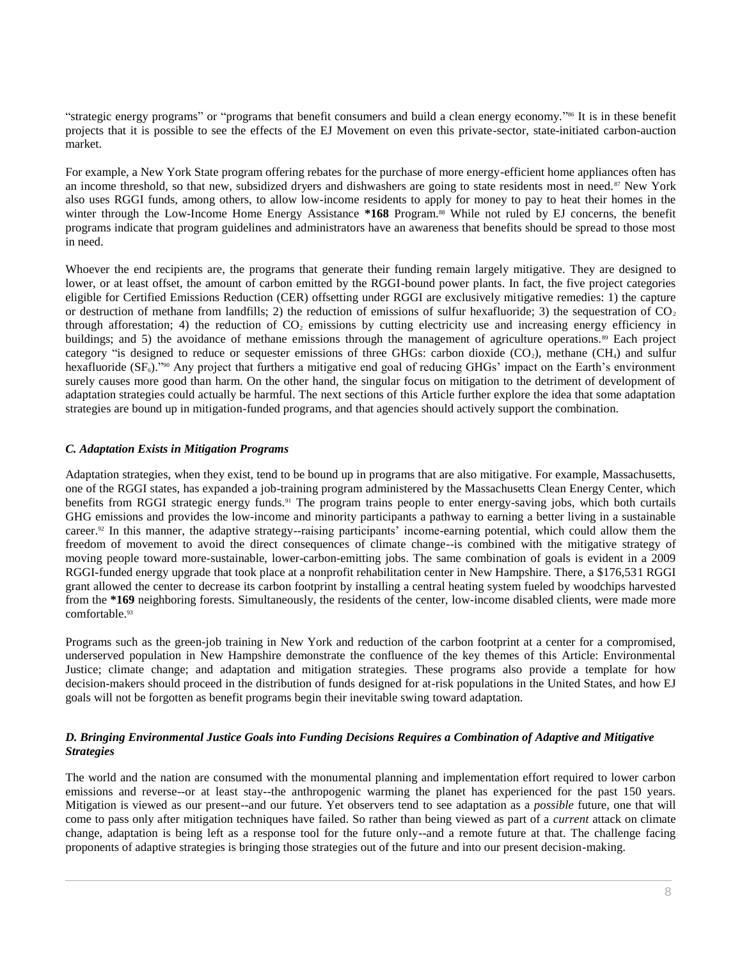"strategic energy programs" or "programs that benefit consumers and build a clean energy economy." <sup>86</sup> It is in these benefit projects that it is possible to see the effects of the EJ Movement on even this private-sector, state-initiated carbon-auction market.

For example, a New York State program offering rebates for the purchase of more energy-efficient home appliances often has an income threshold, so that new, subsidized dryers and dishwashers are going to state residents most in need.<sup>87</sup> New York also uses RGGI funds, among others, to allow low-income residents to apply for money to pay to heat their homes in the winter through the Low-Income Home Energy Assistance \*168 Program.<sup>88</sup> While not ruled by EJ concerns, the benefit programs indicate that program guidelines and administrators have an awareness that benefits should be spread to those most in need.

Whoever the end recipients are, the programs that generate their funding remain largely mitigative. They are designed to lower, or at least offset, the amount of carbon emitted by the RGGI-bound power plants. In fact, the five project categories eligible for Certified Emissions Reduction (CER) offsetting under RGGI are exclusively mitigative remedies: 1) the capture or destruction of methane from landfills; 2) the reduction of emissions of sulfur hexafluoride; 3) the sequestration of  $CO<sub>2</sub>$ through afforestation; 4) the reduction of  $CO<sub>2</sub>$  emissions by cutting electricity use and increasing energy efficiency in buildings; and 5) the avoidance of methane emissions through the management of agriculture operations.<sup>89</sup> Each project category "is designed to reduce or sequester emissions of three GHGs: carbon dioxide  $(CO_2)$ , methane  $(CH_4)$  and sulfur hexafluoride (SF<sub>6</sub>)."<sup>90</sup> Any project that furthers a mitigative end goal of reducing GHGs' impact on the Earth's environment surely causes more good than harm. On the other hand, the singular focus on mitigation to the detriment of development of adaptation strategies could actually be harmful. The next sections of this Article further explore the idea that some adaptation strategies are bound up in mitigation-funded programs, and that agencies should actively support the combination.

# *C. Adaptation Exists in Mitigation Programs*

Adaptation strategies, when they exist, tend to be bound up in programs that are also mitigative. For example, Massachusetts, one of the RGGI states, has expanded a job-training program administered by the Massachusetts Clean Energy Center, which benefits from RGGI strategic energy funds.<sup>91</sup> The program trains people to enter energy-saving jobs, which both curtails GHG emissions and provides the low-income and minority participants a pathway to earning a better living in a sustainable career.<sup>92</sup> In this manner, the adaptive strategy--raising participants' income-earning potential, which could allow them the freedom of movement to avoid the direct consequences of climate change--is combined with the mitigative strategy of moving people toward more-sustainable, lower-carbon-emitting jobs. The same combination of goals is evident in a 2009 RGGI-funded energy upgrade that took place at a nonprofit rehabilitation center in New Hampshire. There, a \$176,531 RGGI grant allowed the center to decrease its carbon footprint by installing a central heating system fueled by woodchips harvested from the **\*169** neighboring forests. Simultaneously, the residents of the center, low-income disabled clients, were made more comfortable.<sup>93</sup>

Programs such as the green-job training in New York and reduction of the carbon footprint at a center for a compromised, underserved population in New Hampshire demonstrate the confluence of the key themes of this Article: Environmental Justice; climate change; and adaptation and mitigation strategies. These programs also provide a template for how decision-makers should proceed in the distribution of funds designed for at-risk populations in the United States, and how EJ goals will not be forgotten as benefit programs begin their inevitable swing toward adaptation.

# *D. Bringing Environmental Justice Goals into Funding Decisions Requires a Combination of Adaptive and Mitigative Strategies*

The world and the nation are consumed with the monumental planning and implementation effort required to lower carbon emissions and reverse--or at least stay--the anthropogenic warming the planet has experienced for the past 150 years. Mitigation is viewed as our present--and our future. Yet observers tend to see adaptation as a *possible* future, one that will come to pass only after mitigation techniques have failed. So rather than being viewed as part of a *current* attack on climate change, adaptation is being left as a response tool for the future only--and a remote future at that. The challenge facing proponents of adaptive strategies is bringing those strategies out of the future and into our present decision-making.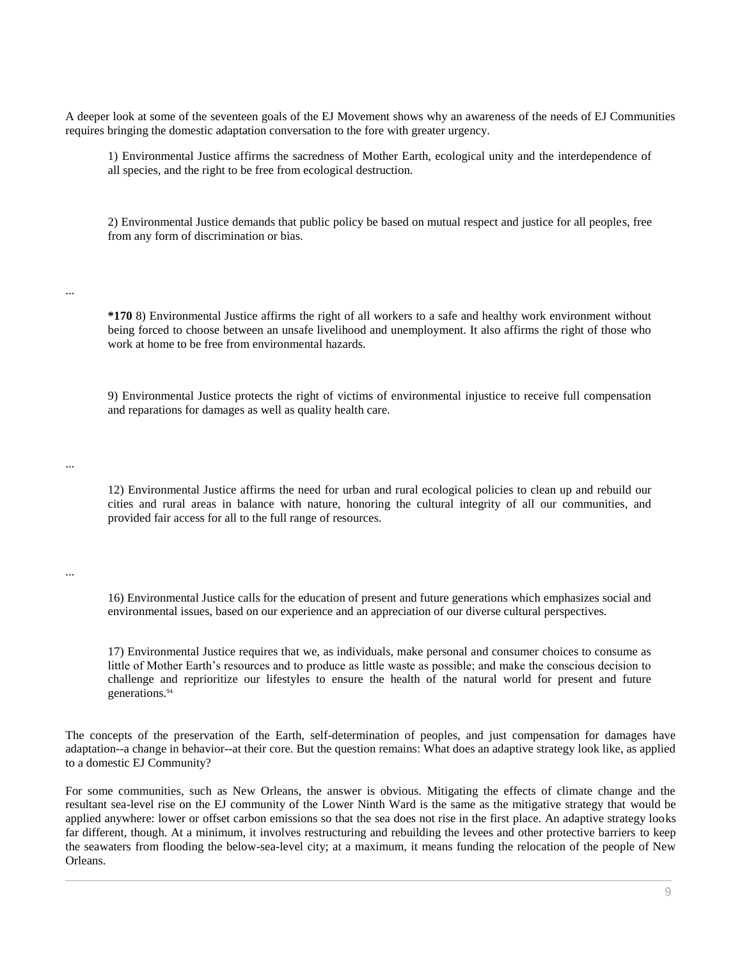A deeper look at some of the seventeen goals of the EJ Movement shows why an awareness of the needs of EJ Communities requires bringing the domestic adaptation conversation to the fore with greater urgency.

1) Environmental Justice affirms the sacredness of Mother Earth, ecological unity and the interdependence of all species, and the right to be free from ecological destruction.

2) Environmental Justice demands that public policy be based on mutual respect and justice for all peoples, free from any form of discrimination or bias.

...

...

...

**\*170** 8) Environmental Justice affirms the right of all workers to a safe and healthy work environment without being forced to choose between an unsafe livelihood and unemployment. It also affirms the right of those who work at home to be free from environmental hazards.

9) Environmental Justice protects the right of victims of environmental injustice to receive full compensation and reparations for damages as well as quality health care.

12) Environmental Justice affirms the need for urban and rural ecological policies to clean up and rebuild our cities and rural areas in balance with nature, honoring the cultural integrity of all our communities, and provided fair access for all to the full range of resources.

16) Environmental Justice calls for the education of present and future generations which emphasizes social and environmental issues, based on our experience and an appreciation of our diverse cultural perspectives.

17) Environmental Justice requires that we, as individuals, make personal and consumer choices to consume as little of Mother Earth's resources and to produce as little waste as possible; and make the conscious decision to challenge and reprioritize our lifestyles to ensure the health of the natural world for present and future generations.<sup>94</sup>

The concepts of the preservation of the Earth, self-determination of peoples, and just compensation for damages have adaptation--a change in behavior--at their core. But the question remains: What does an adaptive strategy look like, as applied to a domestic EJ Community?

For some communities, such as New Orleans, the answer is obvious. Mitigating the effects of climate change and the resultant sea-level rise on the EJ community of the Lower Ninth Ward is the same as the mitigative strategy that would be applied anywhere: lower or offset carbon emissions so that the sea does not rise in the first place. An adaptive strategy looks far different, though. At a minimum, it involves restructuring and rebuilding the levees and other protective barriers to keep the seawaters from flooding the below-sea-level city; at a maximum, it means funding the relocation of the people of New Orleans.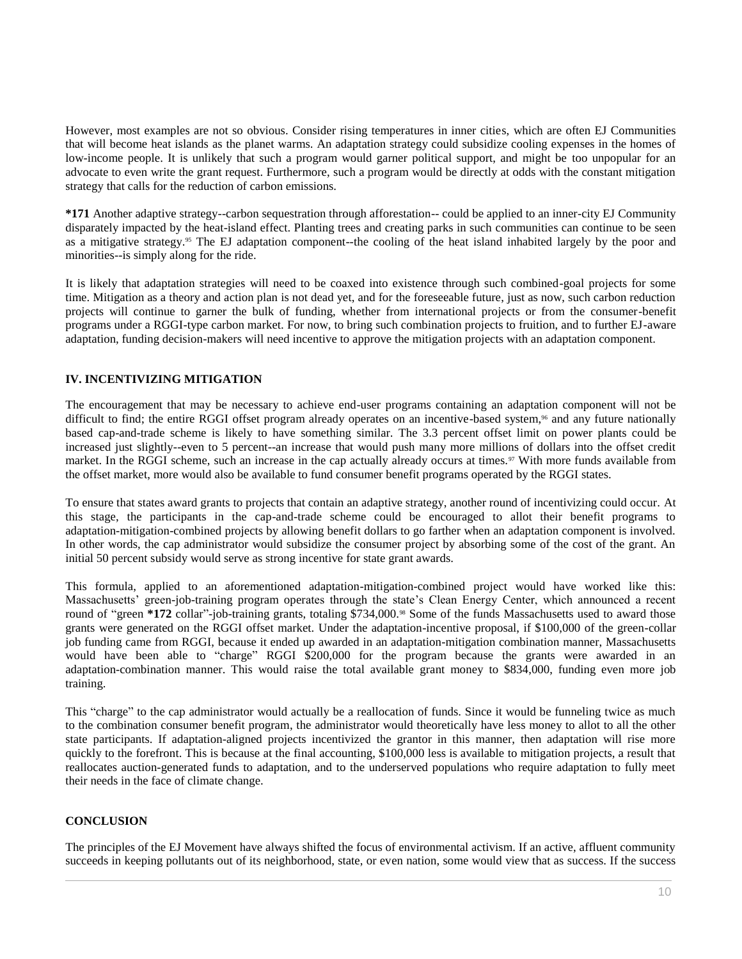However, most examples are not so obvious. Consider rising temperatures in inner cities, which are often EJ Communities that will become heat islands as the planet warms. An adaptation strategy could subsidize cooling expenses in the homes of low-income people. It is unlikely that such a program would garner political support, and might be too unpopular for an advocate to even write the grant request. Furthermore, such a program would be directly at odds with the constant mitigation strategy that calls for the reduction of carbon emissions.

**\*171** Another adaptive strategy--carbon sequestration through afforestation-- could be applied to an inner-city EJ Community disparately impacted by the heat-island effect. Planting trees and creating parks in such communities can continue to be seen as a mitigative strategy.<sup>95</sup> The EJ adaptation component--the cooling of the heat island inhabited largely by the poor and minorities--is simply along for the ride.

It is likely that adaptation strategies will need to be coaxed into existence through such combined-goal projects for some time. Mitigation as a theory and action plan is not dead yet, and for the foreseeable future, just as now, such carbon reduction projects will continue to garner the bulk of funding, whether from international projects or from the consumer-benefit programs under a RGGI-type carbon market. For now, to bring such combination projects to fruition, and to further EJ-aware adaptation, funding decision-makers will need incentive to approve the mitigation projects with an adaptation component.

# **IV. INCENTIVIZING MITIGATION**

The encouragement that may be necessary to achieve end-user programs containing an adaptation component will not be difficult to find; the entire RGGI offset program already operates on an incentive-based system,<sup>96</sup> and any future nationally based cap-and-trade scheme is likely to have something similar. The 3.3 percent offset limit on power plants could be increased just slightly--even to 5 percent--an increase that would push many more millions of dollars into the offset credit market. In the RGGI scheme, such an increase in the cap actually already occurs at times.<sup>97</sup> With more funds available from the offset market, more would also be available to fund consumer benefit programs operated by the RGGI states.

To ensure that states award grants to projects that contain an adaptive strategy, another round of incentivizing could occur. At this stage, the participants in the cap-and-trade scheme could be encouraged to allot their benefit programs to adaptation-mitigation-combined projects by allowing benefit dollars to go farther when an adaptation component is involved. In other words, the cap administrator would subsidize the consumer project by absorbing some of the cost of the grant. An initial 50 percent subsidy would serve as strong incentive for state grant awards.

This formula, applied to an aforementioned adaptation-mitigation-combined project would have worked like this: Massachusetts' green-job-training program operates through the state's Clean Energy Center, which announced a recent round of "green \*172 collar"-job-training grants, totaling \$734,000.<sup>98</sup> Some of the funds Massachusetts used to award those grants were generated on the RGGI offset market. Under the adaptation-incentive proposal, if \$100,000 of the green-collar job funding came from RGGI, because it ended up awarded in an adaptation-mitigation combination manner, Massachusetts would have been able to "charge" RGGI \$200,000 for the program because the grants were awarded in an adaptation-combination manner. This would raise the total available grant money to \$834,000, funding even more job training.

This "charge" to the cap administrator would actually be a reallocation of funds. Since it would be funneling twice as much to the combination consumer benefit program, the administrator would theoretically have less money to allot to all the other state participants. If adaptation-aligned projects incentivized the grantor in this manner, then adaptation will rise more quickly to the forefront. This is because at the final accounting, \$100,000 less is available to mitigation projects, a result that reallocates auction-generated funds to adaptation, and to the underserved populations who require adaptation to fully meet their needs in the face of climate change.

# **CONCLUSION**

The principles of the EJ Movement have always shifted the focus of environmental activism. If an active, affluent community succeeds in keeping pollutants out of its neighborhood, state, or even nation, some would view that as success. If the success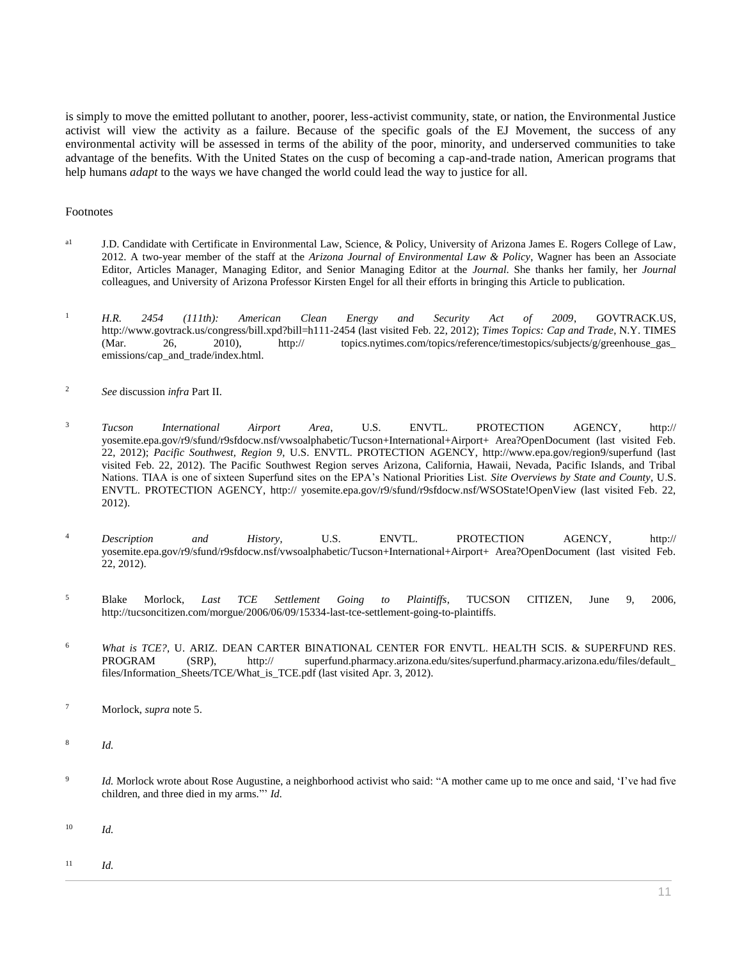is simply to move the emitted pollutant to another, poorer, less-activist community, state, or nation, the Environmental Justice activist will view the activity as a failure. Because of the specific goals of the EJ Movement, the success of any environmental activity will be assessed in terms of the ability of the poor, minority, and underserved communities to take advantage of the benefits. With the United States on the cusp of becoming a cap-and-trade nation, American programs that help humans *adapt* to the ways we have changed the world could lead the way to justice for all.

#### Footnotes

- <sup>a1</sup> J.D. Candidate with Certificate in Environmental Law, Science, & Policy, University of Arizona James E. Rogers College of Law, 2012. A two-year member of the staff at the *Arizona Journal of Environmental Law & Policy*, Wagner has been an Associate Editor, Articles Manager, Managing Editor, and Senior Managing Editor at the *Journal*. She thanks her family, her *Journal* colleagues, and University of Arizona Professor Kirsten Engel for all their efforts in bringing this Article to publication.
- <sup>1</sup> *H.R. 2454 (111th): American Clean Energy and Security Act of 2009*, GOVTRACK.US, http://www.govtrack.us/congress/bill.xpd?bill=h111-2454 (last visited Feb. 22, 2012); *Times Topics: Cap and Trade*, N.Y. TIMES (Mar. 26, 2010), http:// topics.nytimes.com/topics/reference/timestopics/subjects/g/greenhouse\_gas\_ emissions/cap\_and\_trade/index.html.
- <sup>2</sup> *See* discussion *infra* Part II.
- <sup>3</sup> *Tucson International Airport Area*, U.S. ENVTL. PROTECTION AGENCY, http:// yosemite.epa.gov/r9/sfund/r9sfdocw.nsf/vwsoalphabetic/Tucson+International+Airport+ Area?OpenDocument (last visited Feb. 22, 2012); *Pacific Southwest, Region 9*, U.S. ENVTL. PROTECTION AGENCY, http://www.epa.gov/region9/superfund (last visited Feb. 22, 2012). The Pacific Southwest Region serves Arizona, California, Hawaii, Nevada, Pacific Islands, and Tribal Nations. TIAA is one of sixteen Superfund sites on the EPA's National Priorities List. *Site Overviews by State and County*, U.S. ENVTL. PROTECTION AGENCY, http:// yosemite.epa.gov/r9/sfund/r9sfdocw.nsf/WSOState!OpenView (last visited Feb. 22, 2012).
- <sup>4</sup> *Description and History*, U.S. ENVTL. PROTECTION AGENCY, http:// yosemite.epa.gov/r9/sfund/r9sfdocw.nsf/vwsoalphabetic/Tucson+International+Airport+ Area?OpenDocument (last visited Feb. 22, 2012).
- <sup>5</sup> Blake Morlock, *Last TCE Settlement Going to Plaintiffs*, TUCSON CITIZEN, June 9, 2006, http://tucsoncitizen.com/morgue/2006/06/09/15334-last-tce-settlement-going-to-plaintiffs.
- <sup>6</sup> *What is TCE?*, U. ARIZ. DEAN CARTER BINATIONAL CENTER FOR ENVTL. HEALTH SCIS. & SUPERFUND RES. PROGRAM (SRP), http:// superfund.pharmacy.arizona.edu/sites/superfund.pharmacy.arizona.edu/files/default\_ files/Information\_Sheets/TCE/What\_is\_TCE.pdf (last visited Apr. 3, 2012).
- <sup>7</sup> Morlock, *supra* note 5.
- 8 *Id.*
- $\overline{9}$ *Id.* Morlock wrote about Rose Augustine, a neighborhood activist who said: "A mother came up to me once and said, 'I've had five children, and three died in my arms."' *Id.*
- <sup>10</sup> *Id.*
- <sup>11</sup> *Id.*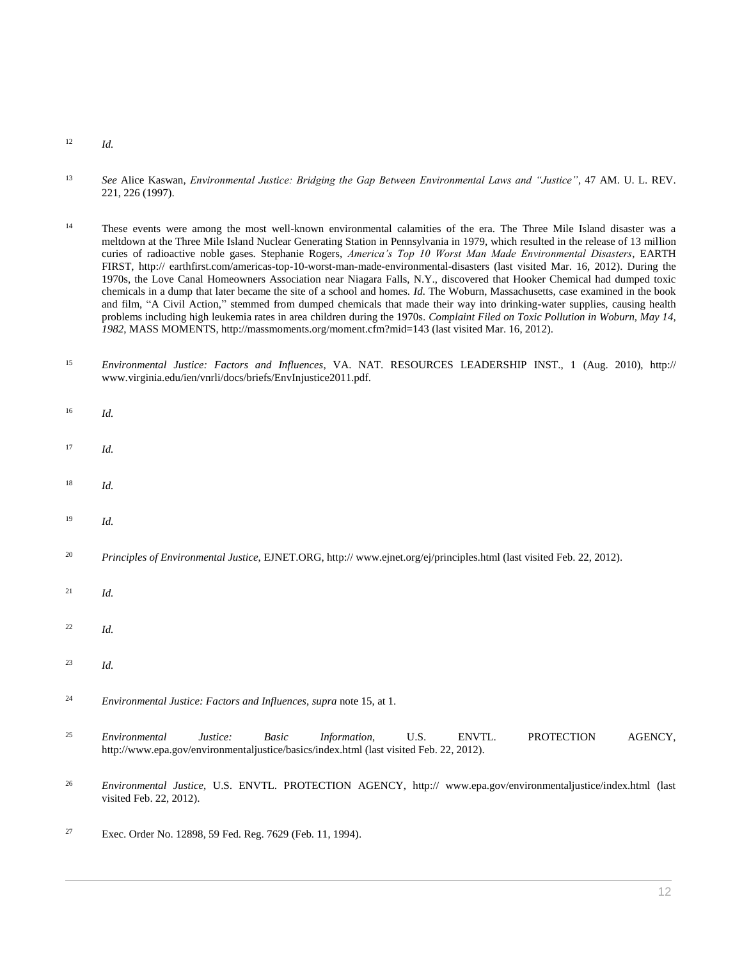- <sup>12</sup> *Id.*
- <sup>13</sup> *See* Alice Kaswan, *[Environmental Justice: Bridging the Gap Between Environmental Laws and "Justice"](http://www.westlaw.com/Link/Document/FullText?findType=Y&serNum=0108862652&pubNum=0001529&originatingDoc=Ie2a55828a46e11e18b05fdf15589d8e8&refType=LR&fi=co_pp_sp_1529_226&originationContext=document&vr=3.0&rs=cblt1.0&transitionType=DocumentItem&contextData=(sc.Search)#co_pp_sp_1529_226)*, 47 AM. U. L. REV. [221, 226](http://www.westlaw.com/Link/Document/FullText?findType=Y&serNum=0108862652&pubNum=0001529&originatingDoc=Ie2a55828a46e11e18b05fdf15589d8e8&refType=LR&fi=co_pp_sp_1529_226&originationContext=document&vr=3.0&rs=cblt1.0&transitionType=DocumentItem&contextData=(sc.Search)#co_pp_sp_1529_226) (1997).
- <sup>14</sup> These events were among the most well-known environmental calamities of the era. The Three Mile Island disaster was a meltdown at the Three Mile Island Nuclear Generating Station in Pennsylvania in 1979, which resulted in the release of 13 million curies of radioactive noble gases. Stephanie Rogers, *America's Top 10 Worst Man Made Environmental Disasters*, EARTH FIRST, http:// earthfirst.com/americas-top-10-worst-man-made-environmental-disasters (last visited Mar. 16, 2012). During the 1970s, the Love Canal Homeowners Association near Niagara Falls, N.Y., discovered that Hooker Chemical had dumped toxic chemicals in a dump that later became the site of a school and homes. *Id.* The Woburn, Massachusetts, case examined in the book and film, "A Civil Action," stemmed from dumped chemicals that made their way into drinking-water supplies, causing health problems including high leukemia rates in area children during the 1970s. *Complaint Filed on Toxic Pollution in Woburn, May 14, 1982*, MASS MOMENTS, http://massmoments.org/moment.cfm?mid=143 (last visited Mar. 16, 2012).
- <sup>15</sup> *Environmental Justice: Factors and Influences*, VA. NAT. RESOURCES LEADERSHIP INST., 1 (Aug. 2010), http:// www.virginia.edu/ien/vnrli/docs/briefs/EnvInjustice2011.pdf.
- <sup>16</sup> *Id.*
- <sup>17</sup> *Id.*
- <sup>18</sup> *Id.*
- <sup>19</sup> *Id.*
- <sup>20</sup> *Principles of Environmental Justice*, EJNET.ORG, http:// www.ejnet.org/ej/principles.html (last visited Feb. 22, 2012).
- <sup>21</sup> *Id.*
- <sup>22</sup> *Id.*
- <sup>23</sup> *Id.*
- <sup>24</sup> *Environmental Justice: Factors and Influences*, *supra* note 15, at 1.
- <sup>25</sup> *Environmental Justice: Basic Information*, U.S. ENVTL. PROTECTION AGENCY, http://www.epa.gov/environmentaljustice/basics/index.html (last visited Feb. 22, 2012).
- <sup>26</sup> *Environmental Justice*, U.S. ENVTL. PROTECTION AGENCY, http:// www.epa.gov/environmentaljustice/index.html (last visited Feb. 22, 2012).
- <sup>27</sup> [Exec. Order No. 12898, 59 Fed. Reg. 7629 \(Feb. 11, 1994\).](http://www.westlaw.com/Link/Document/FullText?findType=Y&serNum=1994556908&pubNum=0001043&originatingDoc=Ie2a55828a46e11e18b05fdf15589d8e8&refType=CA&originationContext=document&vr=3.0&rs=cblt1.0&transitionType=DocumentItem&contextData=(sc.Search))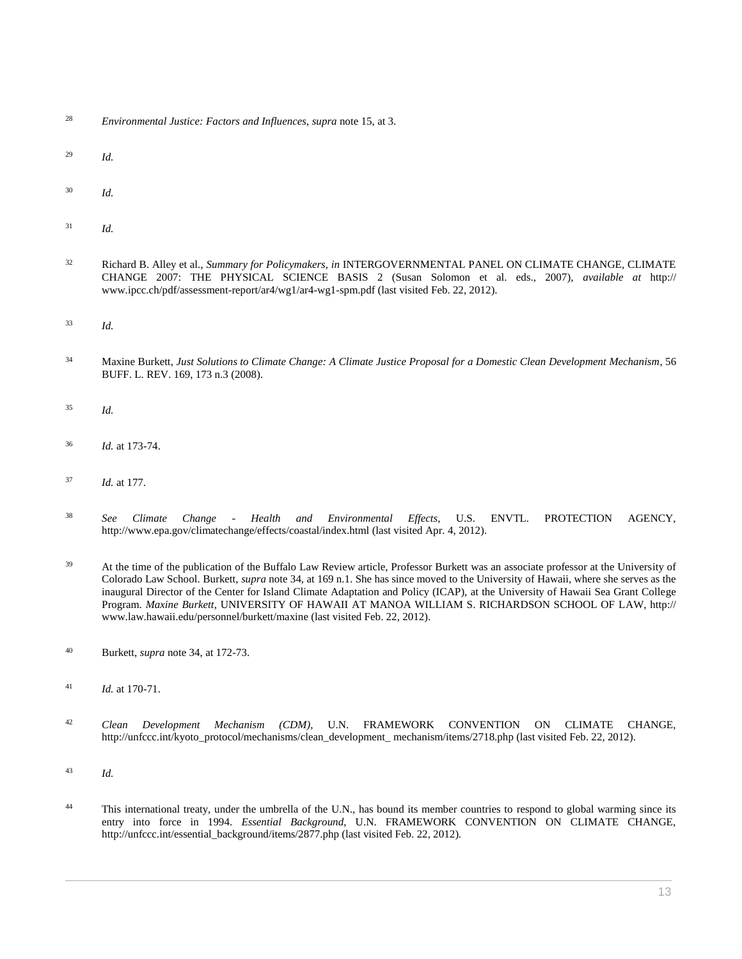- <sup>28</sup> *Environmental Justice: Factors and Influences*, *supra* note 15, at 3.
- <sup>29</sup> *Id.*
- <sup>30</sup> *Id.*
- <sup>31</sup> *Id.*
- <sup>32</sup> Richard B. Alley et al., *Summary for Policymakers*, *in* INTERGOVERNMENTAL PANEL ON CLIMATE CHANGE, CLIMATE CHANGE 2007: THE PHYSICAL SCIENCE BASIS 2 (Susan Solomon et al. eds., 2007), *available at* http:// www.ipcc.ch/pdf/assessment-report/ar4/wg1/ar4-wg1-spm.pdf (last visited Feb. 22, 2012).
- <sup>33</sup> *Id.*
- <sup>34</sup> Maxine Burkett, *[Just Solutions to Climate Change: A Climate Justice Proposal for a Domestic Clean Development Mechanism](http://www.westlaw.com/Link/Document/FullText?findType=Y&serNum=0337657016&pubNum=0001104&originatingDoc=Ie2a55828a46e11e18b05fdf15589d8e8&refType=LR&fi=co_pp_sp_1104_173&originationContext=document&vr=3.0&rs=cblt1.0&transitionType=DocumentItem&contextData=(sc.Search)#co_pp_sp_1104_173)*, 56 [BUFF. L. REV. 169, 173 n.3 \(2008\).](http://www.westlaw.com/Link/Document/FullText?findType=Y&serNum=0337657016&pubNum=0001104&originatingDoc=Ie2a55828a46e11e18b05fdf15589d8e8&refType=LR&fi=co_pp_sp_1104_173&originationContext=document&vr=3.0&rs=cblt1.0&transitionType=DocumentItem&contextData=(sc.Search)#co_pp_sp_1104_173)
- <sup>35</sup> *Id.*
- <sup>36</sup> *Id.* at 173-74.
- <sup>37</sup> *Id.* at 177.
- <sup>38</sup> *See Climate Change - Health and Environmental Effects*, U.S. ENVTL. PROTECTION AGENCY, http://www.epa.gov/climatechange/effects/coastal/index.html (last visited Apr. 4, 2012).
- <sup>39</sup> At the time of the publication of the Buffalo Law Review article, Professor Burkett was an associate professor at the University of Colorado Law School. Burkett, *supra* note 34, at 169 n.1. She has since moved to the University of Hawaii, where she serves as the inaugural Director of the Center for Island Climate Adaptation and Policy (ICAP), at the University of Hawaii Sea Grant College Program. *Maxine Burkett*, UNIVERSITY OF HAWAII AT MANOA WILLIAM S. RICHARDSON SCHOOL OF LAW, http:// www.law.hawaii.edu/personnel/burkett/maxine (last visited Feb. 22, 2012).
- <sup>40</sup> Burkett, *supra* note 34, at 172-73.
- <sup>41</sup> *Id.* at 170-71.
- <sup>42</sup> *Clean Development Mechanism (CDM)*, U.N. FRAMEWORK CONVENTION ON CLIMATE CHANGE, http://unfccc.int/kyoto\_protocol/mechanisms/clean\_development\_ mechanism/items/2718.php (last visited Feb. 22, 2012).
- <sup>43</sup> *Id.*
- 44 This international treaty, under the umbrella of the U.N., has bound its member countries to respond to global warming since its entry into force in 1994. *Essential Background*, U.N. FRAMEWORK CONVENTION ON CLIMATE CHANGE, http://unfccc.int/essential\_background/items/2877.php (last visited Feb. 22, 2012).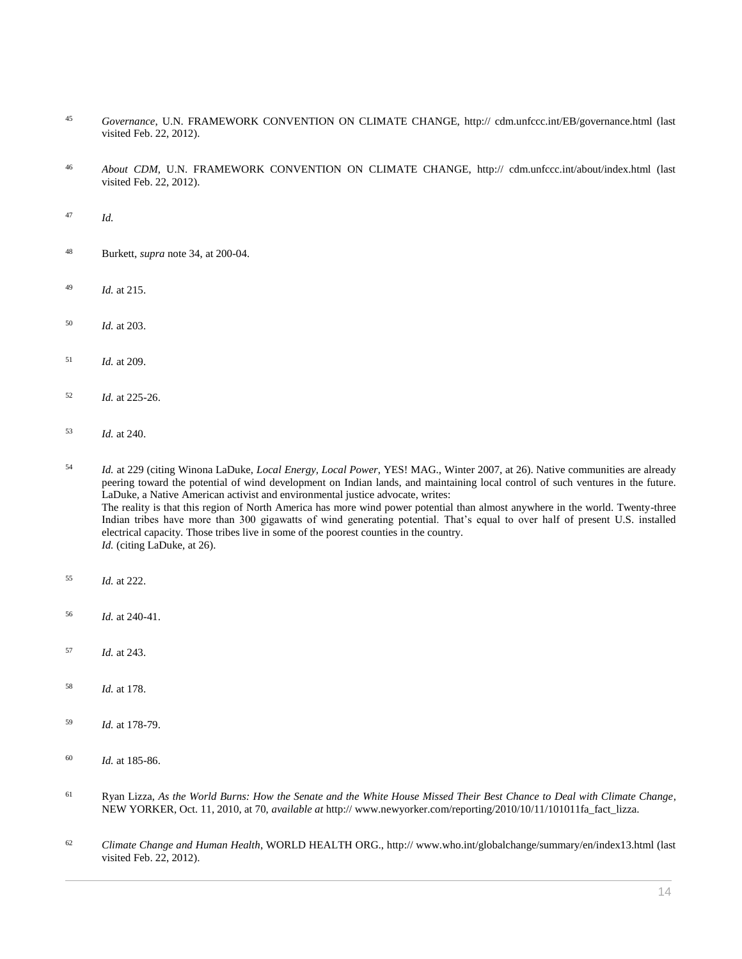- *Governance*, U.N. FRAMEWORK CONVENTION ON CLIMATE CHANGE, http:// cdm.unfccc.int/EB/governance.html (last visited Feb. 22, 2012).
- *About CDM*, U.N. FRAMEWORK CONVENTION ON CLIMATE CHANGE, http:// cdm.unfccc.int/about/index.html (last visited Feb. 22, 2012).
- *Id.*
- Burkett, *supra* note 34, at 200-04.
- *Id.* at 215.
- *Id.* at 203.
- *Id.* at 209.
- *Id.* at 225-26.
- *Id.* at 240.
- *Id.* at 229 (citing Winona LaDuke, *Local Energy, Local Power*, YES! MAG., Winter 2007, at 26). Native communities are already peering toward the potential of wind development on Indian lands, and maintaining local control of such ventures in the future. LaDuke, a Native American activist and environmental justice advocate, writes: The reality is that this region of North America has more wind power potential than almost anywhere in the world. Twenty-three Indian tribes have more than 300 gigawatts of wind generating potential. That's equal to over half of present U.S. installed electrical capacity. Those tribes live in some of the poorest counties in the country. *Id.* (citing LaDuke, at 26).
- *Id.* at 222.
- *Id.* at 240-41.
- *Id.* at 243.
- *Id.* at 178.
- *Id.* at 178-79.
- *Id.* at 185-86.
- Ryan Lizza, *As the World Burns: How the Senate and the White House Missed Their Best Chance to Deal with Climate Change*, NEW YORKER, Oct. 11, 2010, at 70, *available at* http:// www.newyorker.com/reporting/2010/10/11/101011fa\_fact\_lizza.
- *Climate Change and Human Health*, WORLD HEALTH ORG., http:// www.who.int/globalchange/summary/en/index13.html (last visited Feb. 22, 2012).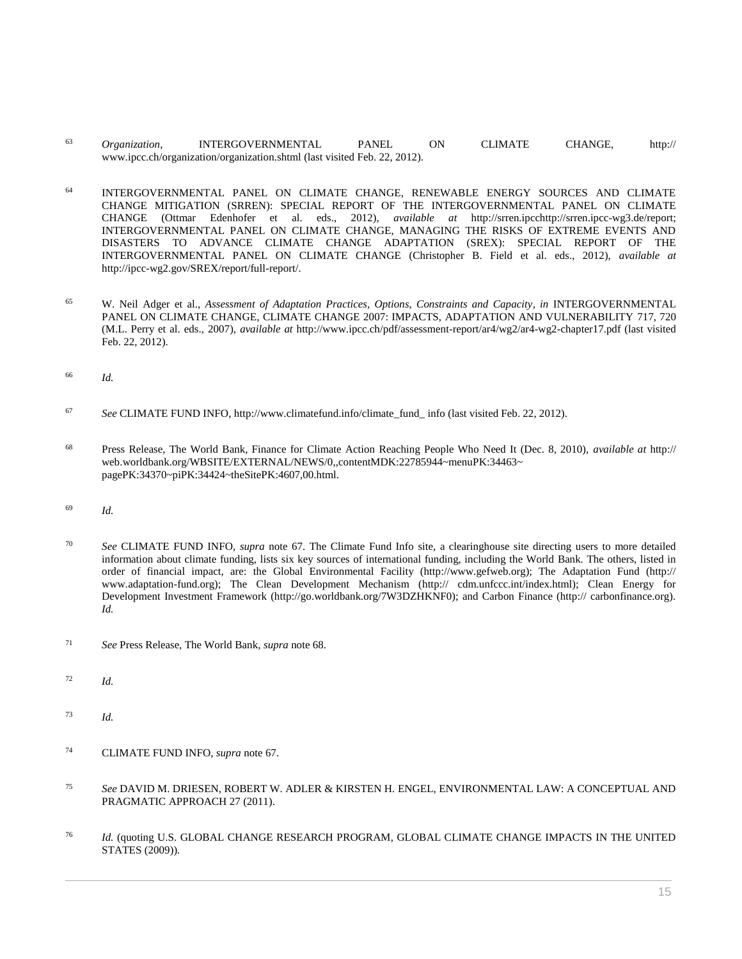- <sup>63</sup> *Organization*, INTERGOVERNMENTAL PANEL ON CLIMATE CHANGE, http:// www.ipcc.ch/organization/organization.shtml (last visited Feb. 22, 2012).
- <sup>64</sup> INTERGOVERNMENTAL PANEL ON CLIMATE CHANGE, RENEWABLE ENERGY SOURCES AND CLIMATE CHANGE MITIGATION (SRREN): SPECIAL REPORT OF THE INTERGOVERNMENTAL PANEL ON CLIMATE CHANGE (Ottmar Edenhofer et al. eds., 2012), *available at* http://srren.ipcchttp://srren.ipcc-wg3.de/report; INTERGOVERNMENTAL PANEL ON CLIMATE CHANGE, MANAGING THE RISKS OF EXTREME EVENTS AND DISASTERS TO ADVANCE CLIMATE CHANGE ADAPTATION (SREX): SPECIAL REPORT OF THE INTERGOVERNMENTAL PANEL ON CLIMATE CHANGE (Christopher B. Field et al. eds., 2012), *available at* http://ipcc-wg2.gov/SREX/report/full-report/.
- <sup>65</sup> W. Neil Adger et al., *Assessment of Adaptation Practices, Options, Constraints and Capacity*, *in* INTERGOVERNMENTAL PANEL ON CLIMATE CHANGE, CLIMATE CHANGE 2007: IMPACTS, ADAPTATION AND VULNERABILITY 717, 720 (M.L. Perry et al. eds., 2007), *available at* http://www.ipcc.ch/pdf/assessment-report/ar4/wg2/ar4-wg2-chapter17.pdf (last visited Feb. 22, 2012).
- <sup>66</sup> *Id.*
- <sup>67</sup> *See* CLIMATE FUND INFO, http://www.climatefund.info/climate\_fund\_ info (last visited Feb. 22, 2012).
- <sup>68</sup> Press Release, The World Bank, Finance for Climate Action Reaching People Who Need It (Dec. 8, 2010), *available at* http:// web.worldbank.org/WBSITE/EXTERNAL/NEWS/0,,contentMDK:22785944~menuPK:34463~ pagePK:34370~piPK:34424~theSitePK:4607,00.html.
- <sup>69</sup> *Id.*
- <sup>70</sup> *See* CLIMATE FUND INFO, *supra* note 67. The Climate Fund Info site, a clearinghouse site directing users to more detailed information about climate funding, lists six key sources of international funding, including the World Bank. The others, listed in order of financial impact, are: the Global Environmental Facility (http://www.gefweb.org); The Adaptation Fund (http:// www.adaptation-fund.org); The Clean Development Mechanism (http:// cdm.unfccc.int/index.html); Clean Energy for Development Investment Framework (http://go.worldbank.org/7W3DZHKNF0); and Carbon Finance (http:// carbonfinance.org). *Id.*
- <sup>71</sup> *See* Press Release, The World Bank, *supra* note 68.
- <sup>72</sup> *Id.*
- <sup>73</sup> *Id.*
- <sup>74</sup> CLIMATE FUND INFO, *supra* note 67.
- <sup>75</sup> *See* DAVID M. DRIESEN, ROBERT W. ADLER & KIRSTEN H. ENGEL, ENVIRONMENTAL LAW: A CONCEPTUAL AND PRAGMATIC APPROACH 27 (2011).
- <sup>76</sup> *Id.* (quoting U.S. GLOBAL CHANGE RESEARCH PROGRAM, GLOBAL CLIMATE CHANGE IMPACTS IN THE UNITED STATES (2009)).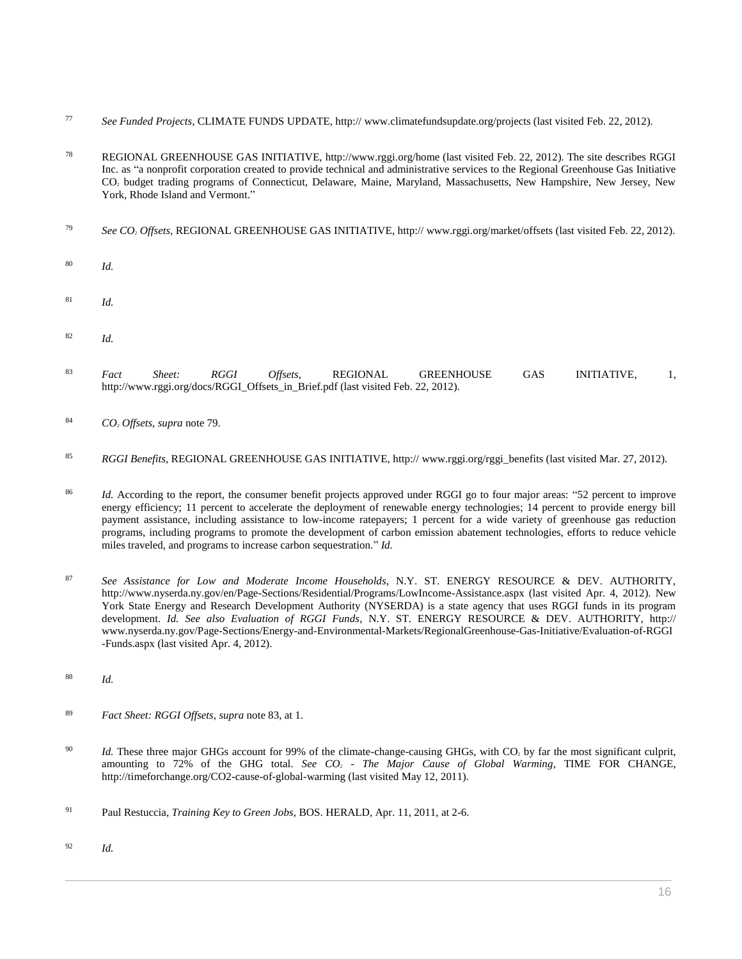- <sup>77</sup> *See Funded Projects*, CLIMATE FUNDS UPDATE, http:// www.climatefundsupdate.org/projects (last visited Feb. 22, 2012).
- <sup>78</sup> REGIONAL GREENHOUSE GAS INITIATIVE, http://www.rggi.org/home (last visited Feb. 22, 2012). The site describes RGGI Inc. as "a nonprofit corporation created to provide technical and administrative services to the Regional Greenhouse Gas Initiative CO<sup>2</sup> budget trading programs of Connecticut, Delaware, Maine, Maryland, Massachusetts, New Hampshire, New Jersey, New York, Rhode Island and Vermont."
- <sup>79</sup> *See CO<sup>2</sup> Offsets*, REGIONAL GREENHOUSE GAS INITIATIVE, http:// www.rggi.org/market/offsets (last visited Feb. 22, 2012).
- <sup>80</sup> *Id.*
- <sup>81</sup> *Id.*
- <sup>82</sup> *Id.*
- <sup>83</sup> *Fact Sheet: RGGI Offsets*, REGIONAL GREENHOUSE GAS INITIATIVE, 1, http://www.rggi.org/docs/RGGI\_Offsets\_in\_Brief.pdf (last visited Feb. 22, 2012).
- <sup>84</sup> *CO<sup>2</sup> Offsets*, *supra* note 79.
- <sup>85</sup> *RGGI Benefits*, REGIONAL GREENHOUSE GAS INITIATIVE, http:// www.rggi.org/rggi\_benefits (last visited Mar. 27, 2012).
- <sup>86</sup> *Id.* According to the report, the consumer benefit projects approved under RGGI go to four major areas: "52 percent to improve energy efficiency; 11 percent to accelerate the deployment of renewable energy technologies; 14 percent to provide energy bill payment assistance, including assistance to low-income ratepayers; 1 percent for a wide variety of greenhouse gas reduction programs, including programs to promote the development of carbon emission abatement technologies, efforts to reduce vehicle miles traveled, and programs to increase carbon sequestration." *Id.*
- <sup>87</sup> *See Assistance for Low and Moderate Income Households*, N.Y. ST. ENERGY RESOURCE & DEV. AUTHORITY, http://www.nyserda.ny.gov/en/Page-Sections/Residential/Programs/LowIncome-Assistance.aspx (last visited Apr. 4, 2012). New York State Energy and Research Development Authority (NYSERDA) is a state agency that uses RGGI funds in its program development. *Id. See also Evaluation of RGGI Funds*, N.Y. ST. ENERGY RESOURCE & DEV. AUTHORITY, http:// www.nyserda.ny.gov/Page-Sections/Energy-and-Environmental-Markets/RegionalGreenhouse-Gas-Initiative/Evaluation-of-RGGI -Funds.aspx (last visited Apr. 4, 2012).
- <sup>88</sup> *Id.*
- <sup>89</sup> *Fact Sheet: RGGI Offsets*, *supra* note 83, at 1.
- <sup>90</sup> *Id.* These three major GHGs account for 99% of the climate-change-causing GHGs, with CO<sub>2</sub> by far the most significant culprit, amounting to 72% of the GHG total. *See CO<sup>2</sup> - The Major Cause of Global Warming*, TIME FOR CHANGE, http://timeforchange.org/CO2-cause-of-global-warming (last visited May 12, 2011).
- <sup>91</sup> Paul Restuccia, *Training Key to Green Jobs*, BOS. HERALD, Apr. 11, 2011, at 2-6.
- <sup>92</sup> *Id.*